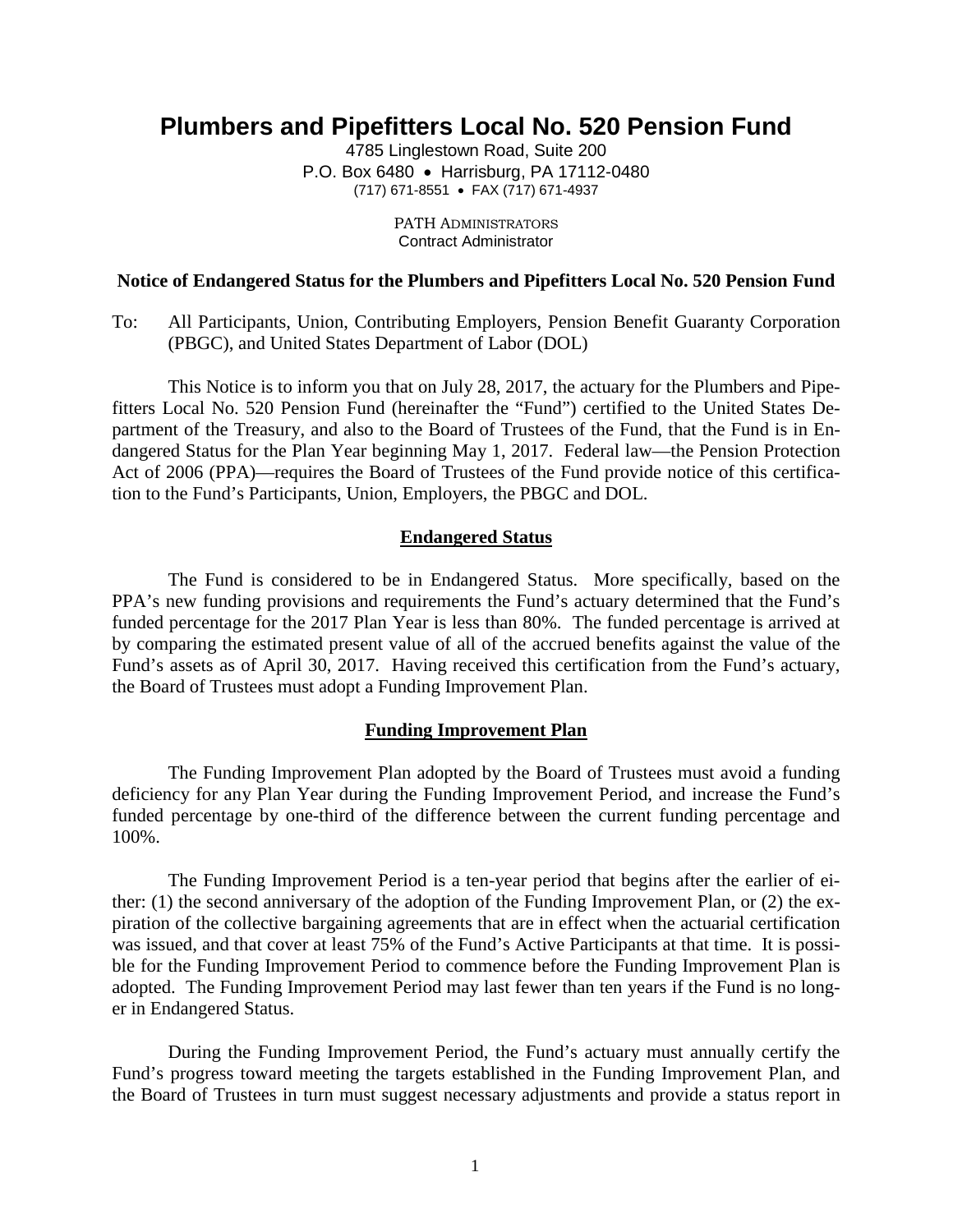# **Plumbers and Pipefitters Local No. 520 Pension Fund**

4785 Linglestown Road, Suite 200 P.O. Box 6480 • Harrisburg, PA 17112-0480 (717) 671-8551 • FAX (717) 671-4937

> PATH ADMINISTRATORS Contract Administrator

### **Notice of Endangered Status for the Plumbers and Pipefitters Local No. 520 Pension Fund**

To: All Participants, Union, Contributing Employers, Pension Benefit Guaranty Corporation (PBGC), and United States Department of Labor (DOL)

This Notice is to inform you that on July 28, 2017, the actuary for the Plumbers and Pipefitters Local No. 520 Pension Fund (hereinafter the "Fund") certified to the United States Department of the Treasury, and also to the Board of Trustees of the Fund, that the Fund is in Endangered Status for the Plan Year beginning May 1, 2017. Federal law—the Pension Protection Act of 2006 (PPA)—requires the Board of Trustees of the Fund provide notice of this certification to the Fund's Participants, Union, Employers, the PBGC and DOL.

## **Endangered Status**

The Fund is considered to be in Endangered Status. More specifically, based on the PPA's new funding provisions and requirements the Fund's actuary determined that the Fund's funded percentage for the 2017 Plan Year is less than 80%. The funded percentage is arrived at by comparing the estimated present value of all of the accrued benefits against the value of the Fund's assets as of April 30, 2017. Having received this certification from the Fund's actuary, the Board of Trustees must adopt a Funding Improvement Plan.

#### **Funding Improvement Plan**

The Funding Improvement Plan adopted by the Board of Trustees must avoid a funding deficiency for any Plan Year during the Funding Improvement Period, and increase the Fund's funded percentage by one-third of the difference between the current funding percentage and 100%.

The Funding Improvement Period is a ten-year period that begins after the earlier of either: (1) the second anniversary of the adoption of the Funding Improvement Plan, or (2) the expiration of the collective bargaining agreements that are in effect when the actuarial certification was issued, and that cover at least 75% of the Fund's Active Participants at that time. It is possible for the Funding Improvement Period to commence before the Funding Improvement Plan is adopted. The Funding Improvement Period may last fewer than ten years if the Fund is no longer in Endangered Status.

During the Funding Improvement Period, the Fund's actuary must annually certify the Fund's progress toward meeting the targets established in the Funding Improvement Plan, and the Board of Trustees in turn must suggest necessary adjustments and provide a status report in